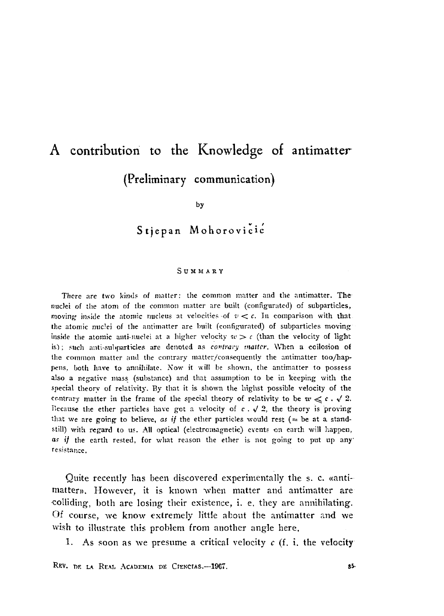## A contribution to the Knowledge of antimatter (Preliminary communication)

by

Stjepan Mohorovicić

## **SUMMARY**

There are two kinds of matter: the common matter and the antimatter. The nuclei of the atom of the common matter are built (configurated) of subparticles, moving inside the atomic nucleus at velocities of  $v < c$ . In comparison with that the atomic nuclei of the antimatter are built (configurated) of subparticles moving inside the atomic anti-nuclei at a higher velocity  $w > c$  (than the velocity of light is); such anti-suliparticles are denoted as *contrary matter*. When a coilosion of the common matter and the contrary matter/consequently the antimatter too/happens, both have to annihilate. Now it will be shown, the antimatter to possess also a negative mass (substance) and that assumption to be in keeping with the special theory of relativity. By that it is shown the highst possible velocity of the contrary matter in the frame of the special theory of relativity to be  $w \ll c \cdot \sqrt{2}$ . llecause the ether particles have got a velocity of  $c \cdot \sqrt{2}$ , the theory is proving that we are going to believe, as *if* the ether particles would rest ( $\approx$  be at a, standstill) with regard to us. All optical (electromagnetic) events on earth will happen, as if the earth rested, for what reason the ether is not going to put up any resistance.

Quite recently has been discovered experimentally the s. c. «antimatter». However, it is known when matter and antimatter are colliding, both are losing their existence, i. e, they are annihilating. Of course, we know extremely little about the antimatter and we wish to illustrate this problem from another angle here.

1. As soon as we presume a critical velocity *c* (f. i. the velocity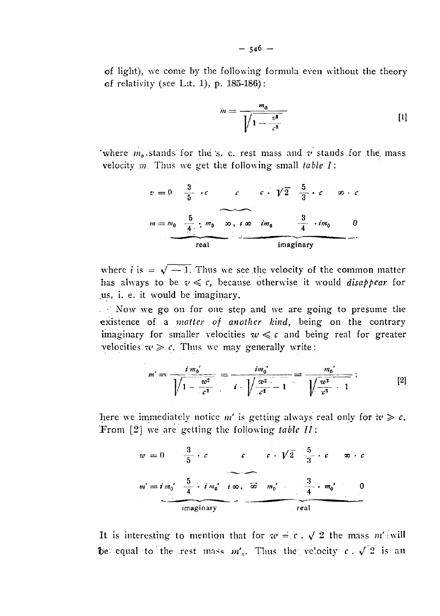of light), we come by the following formula even without the theory of relativity (see Ltt. 1), p.  $185-186$ ):

$$
m = \frac{m_0}{\sqrt{1 - \frac{v^2}{c^2}}} \tag{1}
$$

'where  $m_0$  stands for the s. c. rest mass and v stands for the mass velocity  $m$ . Thus we get the following small table  $I$ :

$$
v = 0 \quad \frac{3}{5} \cdot c \qquad c \qquad c \cdot \sqrt{2} \quad \frac{5}{3} \cdot c \qquad \infty \cdot c
$$
\n
$$
m = m_0 \quad \frac{5}{4} \cdot m_0 \qquad \infty \quad \text{for} \quad \lim_{\Delta t \to 0} \frac{3}{4} \cdot im_0 \qquad 0
$$
\n
$$
real \qquad \qquad \text{imaginary}
$$

where *i* is =  $\sqrt{-1}$ . Thus we see the velocity of the common matter has always to be  $v \leq c$ , because otherwise it would *disappear* for us, i. e. it would be imaginary.

Now we go on for one step and we are going to presume the existence of a *matter* of another kind, being on the contrary imaginary for smaller velocities  $w \leq c$  and being real for greater velocities  $\tau e \geq c$ . Thus we may generally write:

$$
m' = \frac{i m_0'}{\sqrt{1 - \frac{w^2}{c^2}}} = \frac{i m_0'}{i \cdot \sqrt{\frac{w^2}{c^2} - 1}} = \frac{m_0'}{\sqrt{\frac{w^2}{c^2} - 1}}; \qquad [2]
$$

here we immediately notice m' is getting always real only for  $\omega \geq c$ . From [2] we are getting the following table  $II$ :

$$
w = 0 \qquad \frac{3}{5} \cdot c \qquad c \qquad c \cdot \sqrt{2} \qquad \frac{5}{3} \cdot c \qquad \infty \cdot c
$$
  

$$
m' = i \, m_0' \qquad \frac{5}{4} \cdot i \, m_0' \quad i \, \infty \quad \text{for} \quad m_0' \qquad \frac{3}{4} \cdot m_0' \qquad 0
$$
  
imaginary

It is interesting to mention that for  $w = c$ .  $\sqrt{2}$  the mass m' will be equal to the rest mass  $m'_0$ . Thus the velocity  $c \cdot \sqrt{2}$  is an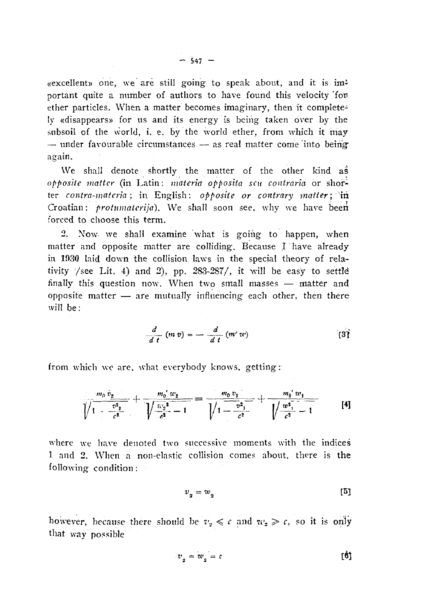«excellent» one, we are still going to speak about, and it is imi portant quite a number of authors to have found this velocity for ether particles. When a matter becomes imaginary, then it completely «disappears» for us and its energy is being taken over by the subsoil of the world, i. e. by the world ether, from which it may  $-$  under favourable circumstances  $-$  as real matter come into beingagain.

We shall denote shortly the matter of the other kind as *opposite matter* (in Latin: *materia apposita seu contraria* or shorter contra-materia; in English: opposite or contrary matter; in Croatian: *protumatcrija).* We shall soon see. why we have been forced to choose this term.

2. Now we shall examine what is going to happen, when matter and opposite matter are colliding. Because I have already in 1030 laid down the collision laws in the special theory of relativity /see Lit. 4) and 2), pp. 283-287/, it will be easy to settle finally this question now. When two small masses — matter and opposite matter  $-$  are mutually influencing each other, then there will be :

$$
\frac{d}{d\ t}\ (m\ v) = -\ \frac{d}{d\ t}\ (m'\ v\ ()
$$

from which we are, what everybody knows, getting:

$$
\frac{m_0 v_2}{\sqrt{1-\frac{v_2^2}{c^2}}}+\frac{m_0' w_2}{\sqrt{\frac{w_2^2}{c^2}-1}}=\frac{m_0 v_1}{\sqrt{1-\frac{v_2^2}{c^2}}}+\frac{m_0' w_1}{\sqrt{\frac{w_2^2}{c^2}-1}}
$$
 [4]

where we have denoted two successive moments with the indices 1 and 2. When a non-elastic collision comes about, there is the following condition :

$$
v_{2} = w_{2} \tag{5}
$$

however, because there should be  $v<sub>2</sub> \le c$  and  $w<sub>2</sub> \ge c$ , so it is only that way possible

$$
v_{2} = w_{2} = c
$$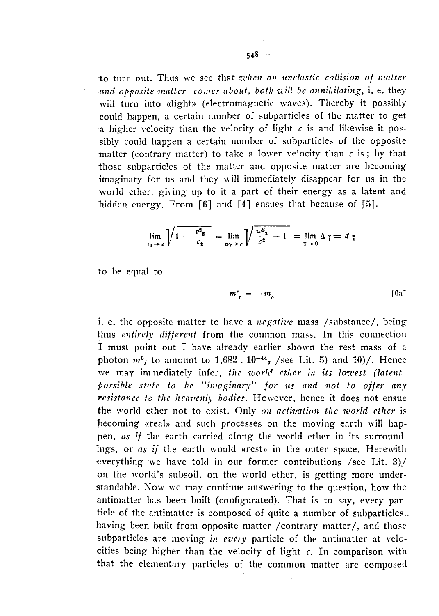to turn out. Thus we see that *when an nnclastic collision of matter and opposite matter comes about, both will be annihilating,* i. e. they will turn into «light» (electromagnetic waves). Thereby it possibly could happen, a certain number of subparticles of the matter to get a higher velocity than the velocity of light *c* is and likewise it possibly could happen a certain number of subparticles of the opposite matter (contrary matter) to take a lower velocity than  $c$  is; by that those subparticles of the matter and opposite matter are becoming imaginary for us and they will immediately disappear for us in the world ether, giving up to it a part of their energy as a latent and hidden energy. From  $[6]$  and  $[4]$  ensues that because of  $[5]$ .

$$
\lim_{v_2 \to \epsilon} \sqrt{1 - \frac{v^2 z}{c_2}} = \lim_{w_2 \to \epsilon} \sqrt{\frac{w^2 z}{c^2} - 1} = \lim_{\tau \to 0} \Delta \tau = d \tau
$$

to be equal to

$$
m'_{0} = -m_{0} \tag{6a}
$$

i. e. the opposite matter to have a *negative* mass /substance/, being thus *entirely different* from the common mass. In this connection I must point out I have already earlier shown the rest mass of a photon  $m^0$ , to amount to  $1,682$ .  $10^{-44}$ , /see Lit. 5) and  $10$ )/. Hence we may immediately infer, the world ether in its lowest (latent) *possible state to be "imaginary" for us and not to offer any resistance to the heavenly bodies.* However, hence it does not ensue the world ether not to exist. Only *on activation the world ether* is becoming «real» and such processes on the moving earth will happen, *as if* the earth carried along the world ether in its surroundings, or *as if* the earth would «rest» in the outer space. Herewith everything we have told in our former contributions /see Lit. 3)/ on the world's subsoil, on the world ether, is getting more understandable. Now we may continue answering to the question, how the antimatter has been built (configurated). That is to say, every particle of the antimatter is composed of quite a number of subparticles,. having been built from opposite matter /contrary matter/, and those subparticles are moving *in everv* particle of the antimatter at velocities being higher than the velocity of light *c.* In comparison with that the elementary particles of the common matter are composed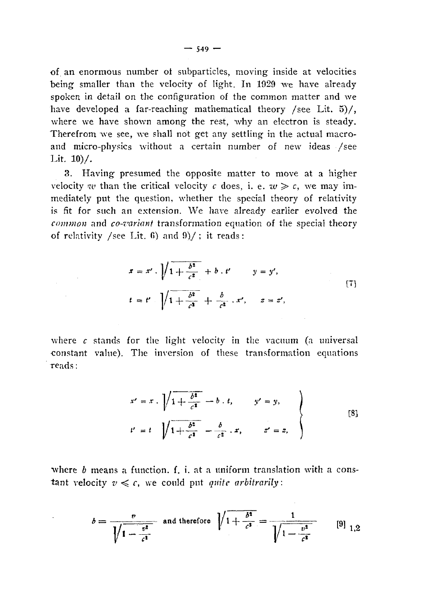of an enormous number of subparticles, moving inside at velocities being smaller than the velocity of light. In 1929 we have already spoken in detail on the configuration of the common matter and we have developed a far-reaching mathematical theory / see Lit. 5)/, where we have shown among the rest, why an electron is steady. Therefrom we see, we shall not get any settling in the actual macroand micro-physics without a certain number of new ideas /see Lit.  $10$ %.

3. Having presumed the opposite matter to move at a higher velocity we than the critical velocity c does, i. e.  $w \ge c$ , we may immediately put the question, whether the special theory of relativity is fit for such an extension. We have already earlier evolved the common and co-variant transformation equation of the special theory of relativity /see Lit. 6) and  $9$ /; it reads:

 $\mathcal{L}_{\rm{max}}$  and  $\mathcal{L}_{\rm{max}}$ 

$$
x = x'.\sqrt{1 + \frac{b^2}{c^2}} + b'.t' \qquad y = y',
$$
  

$$
t = t' \sqrt{1 + \frac{b^2}{c^2}} + \frac{b}{c^2}.x', \qquad z = z',
$$
 [7]

where c stands for the light velocity in the vacuum (a universal constant value). The inversion of these transformation equations reads:

$$
x' = x \cdot \sqrt{1 + \frac{b^2}{c^2}} - b \cdot t, \qquad y' = y,
$$
  

$$
t' = t \sqrt{1 + \frac{b^2}{c^2}} - \frac{b}{c^2} \cdot x, \qquad z' = z,
$$
 [8]

where  $b$  means a function, f, i, at a uniform translation with a constant velocity  $v \leq c$ , we could put quite arbitrarily:

$$
b = \frac{v}{\sqrt{1 - \frac{v^2}{c^2}}} \text{ and therefore } \sqrt{1 + \frac{b^2}{c^2}} = \frac{1}{\sqrt{1 - \frac{v^2}{c^2}}} \qquad [9]_{1,2}
$$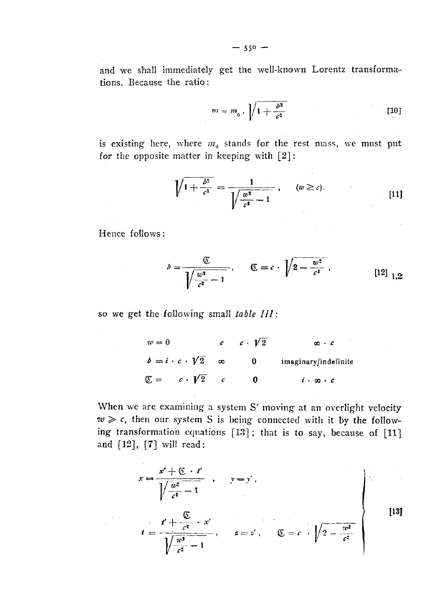and we shall immediately get the well-known Lorentz transformations. Because the ratio:

$$
m = m_0 \cdot \sqrt{1 + \frac{b^2}{c^2}} \tag{10}
$$

 $\label{eq:2} \begin{split} \mathcal{F}_{\text{max}}(\mathbf{r}) = \mathcal{F}_{\text{max}}(\mathbf{r}) \mathcal{F}_{\text{max}}(\mathbf{r}) \end{split}$ 

is existing here, where  $m<sub>0</sub>$  stands for the rest mass, we must put for the opposite matter in keeping with  $[2]$ :

$$
\sqrt{1 + \frac{b^2}{c^2}} = \frac{1}{\sqrt{\frac{w^2}{c^2} - 1}}, \qquad (w \ge c).
$$
 [11]

Hence follows:

 $\frac{1}{\sqrt{2\pi}}\frac{1}{\sqrt{2\pi}}\frac{1}{\sqrt{2\pi}}\frac{1}{\sqrt{2\pi}}\frac{1}{\sqrt{2\pi}}\frac{1}{\sqrt{2\pi}}\frac{1}{\sqrt{2\pi}}\frac{1}{\sqrt{2\pi}}\frac{1}{\sqrt{2\pi}}\frac{1}{\sqrt{2\pi}}\frac{1}{\sqrt{2\pi}}\frac{1}{\sqrt{2\pi}}\frac{1}{\sqrt{2\pi}}\frac{1}{\sqrt{2\pi}}\frac{1}{\sqrt{2\pi}}\frac{1}{\sqrt{2\pi}}\frac{1}{\sqrt{2\pi}}\frac{1}{\sqrt{2\pi}}\frac{1$ 

$$
b = \frac{\mathfrak{C}}{\sqrt{\frac{w^2}{c^2} - 1}}, \qquad \mathfrak{C} = c \cdot \sqrt{2 - \frac{w^2}{c^4}}.
$$
 (12)

so we get the following" small *table III:*

$$
w = 0 \t c \t t \sqrt{2} \t \infty \t c
$$
  
\n
$$
b = i \cdot c \cdot \sqrt{2} \t \infty \t 0 \t \text{imaginary/indefinite}
$$
  
\n
$$
\mathbb{C} = c \cdot \sqrt{2} \t c \t 0 \t i \cdot \infty \cdot c
$$

When we are examining a system S' moving at an overlight velocity  $w \geqslant c$ , then our system S is being connected with it by the following transformation equations [13] ; that is to say, because of [11] and [12], [7] will read:

$$
x = \frac{x' + \mathfrak{C} \cdot t'}{\sqrt{\frac{w^2}{c^2} - 1}}, \qquad y = y',
$$
  

$$
t = \frac{t' + \frac{\mathfrak{C}}{c^2} \cdot x'}{\sqrt{\frac{w^2}{c^2} - 1}}, \qquad z = z', \qquad \mathfrak{C} = c \cdot \sqrt{2 - \frac{w^2}{c^2}}
$$
 [13]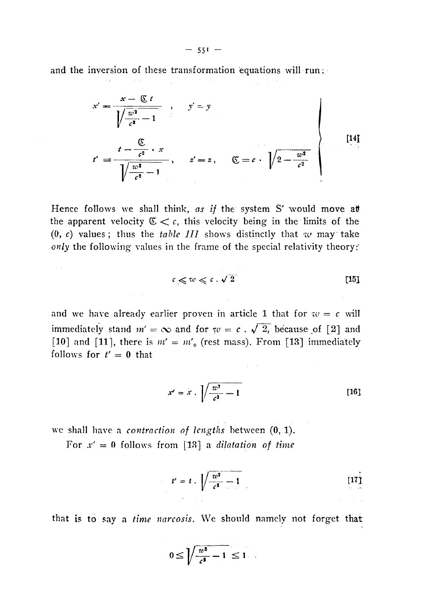and the inversion of these transformation equations will run:

$$
x' = \frac{x - \mathbb{C} t}{\sqrt{\frac{w^2}{c^2} - 1}}, \quad y' = y
$$
  

$$
t' = \frac{t - \frac{\mathbb{C}}{c^2} \cdot x}{\sqrt{\frac{w^2}{c^2} - 1}}, \quad z' = z, \quad \mathbb{C} = c \cdot \sqrt{2 - \frac{w^2}{c^2}}
$$
 [14]

Hence follows we shall think, *as if* the system S' would move at the apparent velocity  $C < c$ , this velocity being in the limits of the  $(0, c)$  values; thus the *table III* shows distinctly that w may take only the following values in the frame of the special relativity theory:

$$
c \leqslant w \leqslant c \cdot \sqrt{2} \tag{15}
$$

and we have already earlier proven in article 1 that for  $w = c$  will immediately stand  $m' = \infty$  and for  $w = c \cdot \sqrt{2}$ , because of [2] and [10] and [11], there is  $m' = m'_0$  (rest mass). From [13] immediately follows for  $t' = 0$  that

$$
x' = x \cdot \sqrt{\frac{w^2}{c^2} - 1} \tag{16}
$$

we shall have a *contraction of lengths* between (0, 1).

 $\sim 10$ 

For  $x' = 0$  follows from [13] a *dilatation of time* 

$$
t' = t \cdot \sqrt{\frac{w^2}{c^2} - 1} \tag{17}
$$

that is to say a *time narcosis.* We should namely not forget that

$$
0 \leq \sqrt{\frac{w^2}{c^2} - 1} \leq 1
$$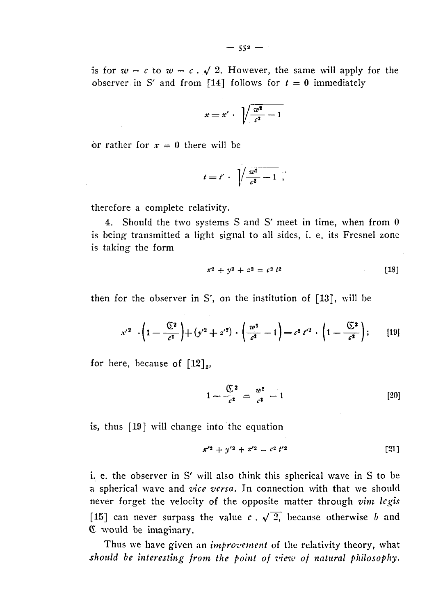is for  $w = c$  to  $w = c$ .  $\sqrt{2}$ . However, the same will apply for the observer in S' and from [14] follows for  $t = 0$  immediately

$$
x = x' \cdot \sqrt{\frac{w^2}{c^2} - 1}
$$

or rather for  $x = 0$  there will be

$$
t=t'\cdot\sqrt{\frac{w^2}{c^2}-1},
$$

therefore a complete relativity.

4. Should the two systems S and S' meet in time, when from 0 is being transmitted a light signal to all sides, i. e. its Fresnel zone is taking the form

$$
x^2 + y^2 + z^2 = c^2 t^2 \tag{18}
$$

then for the observer in S', on the institution of  $[13]$ , will be

$$
x'^2 \cdot \left(1 - \frac{\mathbb{C}^2}{c^2}\right) + \left(y'^2 + z'^2\right) \cdot \left(\frac{w^2}{c^2} - 1\right) = c^2 t'^2 \cdot \left(1 - \frac{\mathbb{C}^2}{c^2}\right); \qquad [19]
$$

for here, because of  $[12]_2$ ,

$$
1 - \frac{\mathfrak{C}^2}{c^2} = \frac{w^2}{c^2} - 1
$$
 [20]

is, thus [19] will change into the equation

$$
x'^2 + y'^2 + z'^2 = c^2 t'^2 \tag{21}
$$

i. e. the observer in S' will also think this spherical wave in S to be a spherical wave and *vice versa.* In connection with that we should never forget the velocity of the opposite matter through *vim legis* [15] can never surpass the value  $c \cdot \sqrt{2}$ , because otherwise *b* and E would be imaginary.

Thus we have given an *improvement* of the relativity theory, what *should be interesting from the point of view of natural philosophy.*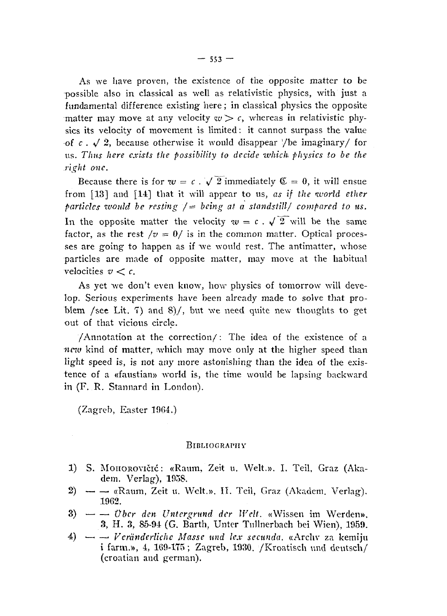As we have proven, the existence of the opposite matter to be possible also in classical as well as relativistic physics, with just a fundamental difference existing here ; in classical physics the opposite matter may move at any velocity  $w > c$ , whereas in relativistic physics its velocity of movement is limited : it cannot surpass the value of  $c \cdot \sqrt{2}$ , because otherwise it would disappear  $\sqrt{2}$  be imaginary/ for us. *Thus here c.vists the possibility to decide -which physics to be the right one.*

Because there is for  $w = c$ .  $\sqrt{2}$  immediately  $\mathfrak{C} = 0$ , it will ensue from [13] and [14] that it will appear to us, *as if the world ether particles would be resting* /= *being at a standstill/ compared to us.* In the opposite matter the velocity  $w = c \cdot \sqrt{2}$  will be the same factor, as the rest  $/v = 0/$  is in the common matter. Optical processes are going to happen as if we would rest. The antimatter, whose particles are made of opposite matter, may move at the habitual velocities  $v < c$ .

As yet we don't even know, how physics of tomorrow will develop. Serious experiments have been already made to solve that problem /see Lit. 7) and 8)/, but we need quite new thoughts to get out of that vicious circle.

/Annotation at the correction/ : The idea of the existence of a *new* kind of matter, which may move only at the higher speed than light speed is, is not any more astonishing than the idea of the existence of a «faustian» world is, the time would be lapsing backward in (F. R. Stannard in London).

(Zagreb, Easter 1964.)

## **BlBLfOGRAPHY**

- 1) S. MOHOROVIČIĆ: «Raum, Zeit u. Welt.». I. Teil, Graz (Akadem. Verlag), 1058.
- $2)$   $\sim$  «Raum, Zeit u. Welt.». II. Teil, Graz (Akadem. Verlag). 1962.
- 3) —' — *Über den Untergrund der Weit.* «Wissen im Werden», 3, H. 3, 85-94 (G. Barth, Unter Tullnerbach bei Wien), 1959.
- 4) —. —. *Veränderliche Masse und le.v secunda.* «Arcliv za kemiju i farm.», 4, 169-175 ; Zagreb, 1930. /Kroatisch und deutsch/ (croatian and german).